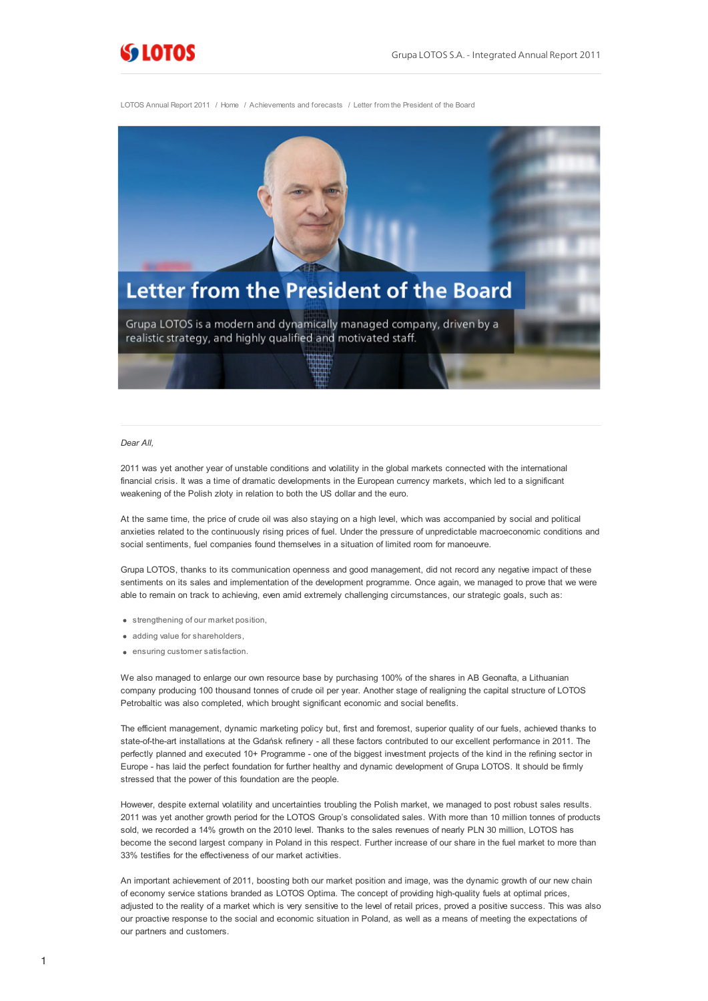

LOTOS Annual Report 2011 / Home / Achievements and forecasts / Letter from the President of the Board



## *Dear All,*

2011 was yet another year of unstable conditions and volatility in the global markets connected with the international financial crisis. It was a time of dramatic developments in the European currency markets, which led to a significant weakening of the Polish złoty in relation to both the US dollar and the euro.

At the same time, the price of crude oil was also staying on a high level, which was accompanied by social and political anxieties related to the continuously rising prices of fuel. Under the pressure of unpredictable macroeconomic conditions and social sentiments, fuel companies found themselves in a situation of limited room for manoeuvre.

Grupa LOTOS, thanks to its communication openness and good management, did not record any negative impact of these sentiments on its sales and implementation of the development programme. Once again, we managed to prove that we were able to remain on track to achieving, even amid extremely challenging circumstances, our strategic goals, such as:

- strengthening of our market position,
- adding value for shareholders,
- ensuring customer satisfaction.

We also managed to enlarge our own resource base by purchasing 100% of the shares in AB Geonafta, a Lithuanian company producing 100 thousand tonnes of crude oil per year. Another stage of realigning the capital structure of LOTOS Petrobaltic was also completed, which brought significant economic and social benefits.

The efficient management, dynamic marketing policy but, first and foremost, superior quality of our fuels, achieved thanks to state-of-the-art installations at the Gdańsk refinery - all these factors contributed to our excellent performance in 2011. The perfectly planned and executed 10+ Programme - one of the biggest investment projects of the kind in the refining sector in Europe - has laid the perfect foundation for further healthy and dynamic development of Grupa LOTOS. It should be firmly stressed that the power of this foundation are the people.

However, despite external volatility and uncertainties troubling the Polish market, we managed to post robust sales results. 2011 was yet another growth period for the LOTOS Group's consolidated sales. With more than 10 million tonnes of products sold, we recorded a 14% growth on the 2010 level. Thanks to the sales revenues of nearly PLN 30 million, LOTOS has become the second largest company in Poland in this respect. Further increase of our share in the fuel market to more than 33% testifies for the effectiveness of our market activities.

An important achievement of 2011, boosting both our market position and image, was the dynamic growth of our new chain of economy service stations branded as LOTOS Optima. The concept of providing high-quality fuels at optimal prices, adjusted to the reality of a market which is very sensitive to the level of retail prices, proved a positive success. This was also our proactive response to the social and economic situation in Poland, as well as a means of meeting the expectations of our partners and customers.